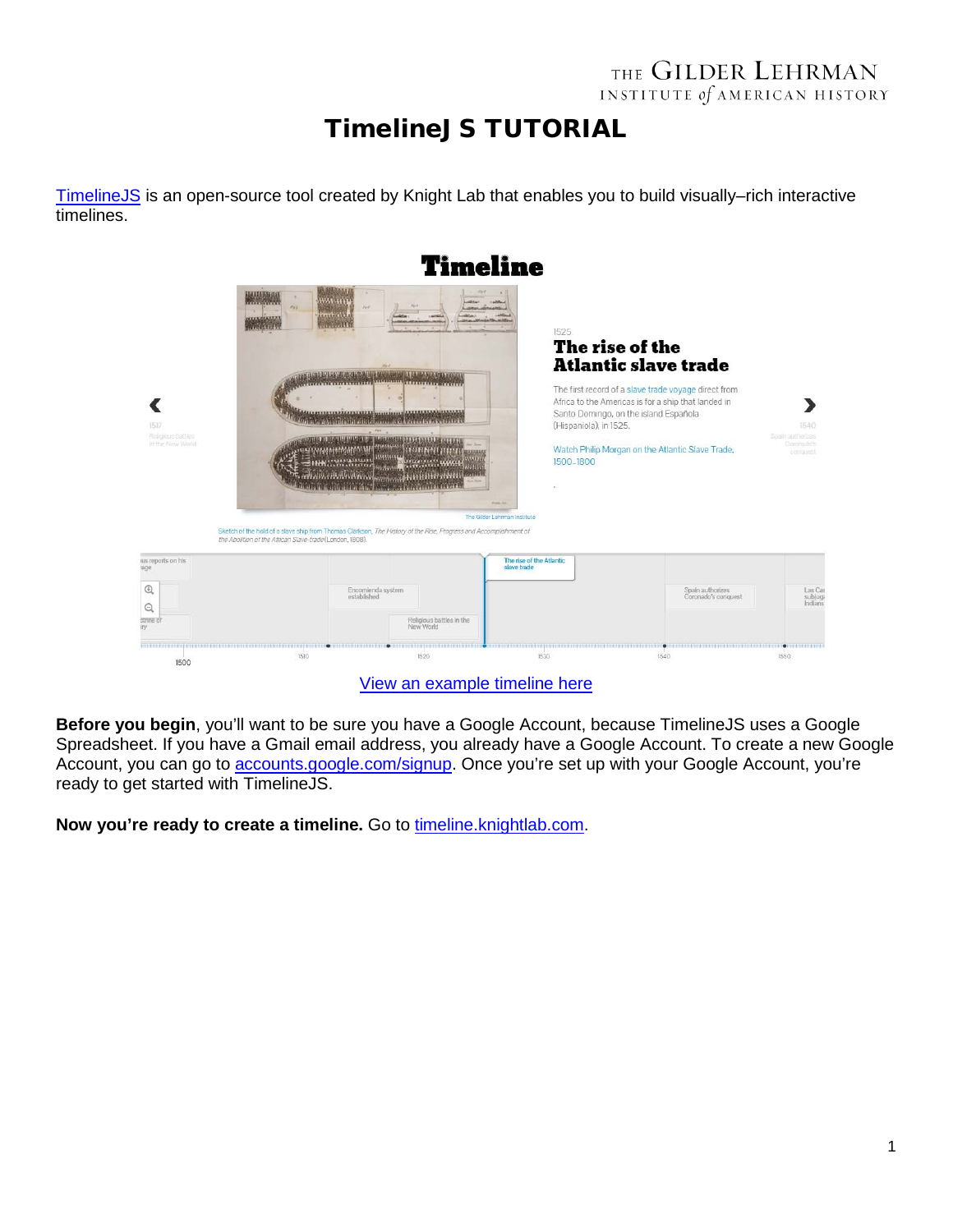## THE GILDER LEHRMAN INSTITUTE of AMERICAN HISTORY

## TimelineJS TUTORIAL

[TimelineJS](http://timeline.knightlab.com/) is an open-source tool created by Knight Lab that enables you to build visually–rich interactive timelines.



[View an example timeline here](http://ap.gilderlehrman.org/period/1#apush_period_timeline)

**Before you begin**, you'll want to be sure you have a Google Account, because TimelineJS uses a Google Spreadsheet. If you have a Gmail email address, you already have a Google Account. To create a new Google Account, you can go to accounts.google.com/signup. Once you're set up with your Google Account, you're ready to get started with TimelineJS.

**Now you're ready to create a timeline.** Go to timeline.knightlab.com.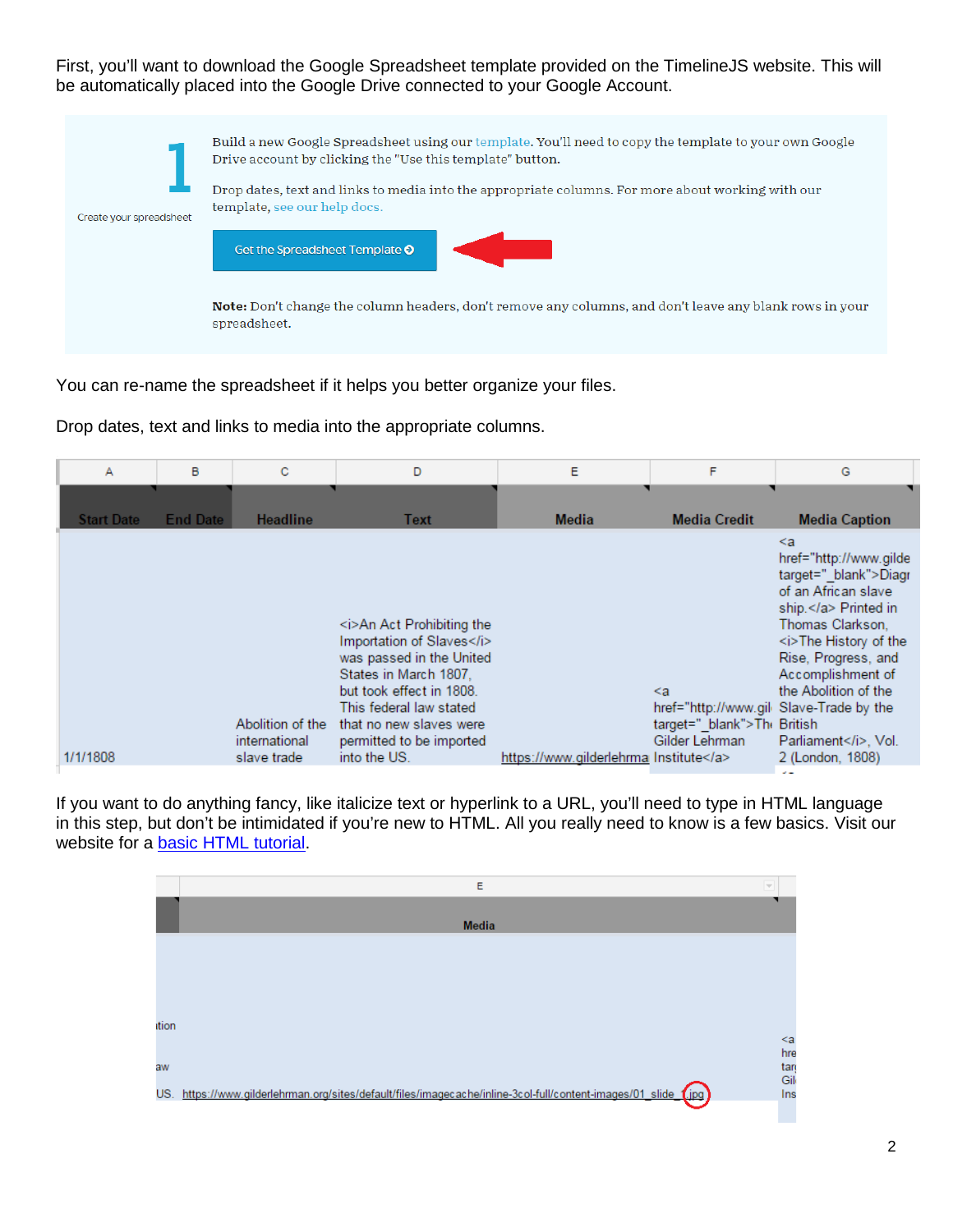First, you'll want to download the Google Spreadsheet template provided on the TimelineJS website. This will be automatically placed into the Google Drive connected to your Google Account.



You can re-name the spreadsheet if it helps you better organize your files.

Drop dates, text and links to media into the appropriate columns.

| А                 | B               | C                                                | D                                                                                                                                                                                                                                          | E                                  | F                                                                                                    | G                                                                                                                                                                                                                                                                        |
|-------------------|-----------------|--------------------------------------------------|--------------------------------------------------------------------------------------------------------------------------------------------------------------------------------------------------------------------------------------------|------------------------------------|------------------------------------------------------------------------------------------------------|--------------------------------------------------------------------------------------------------------------------------------------------------------------------------------------------------------------------------------------------------------------------------|
| <b>Start Date</b> | <b>End Date</b> | <b>Headline</b>                                  | Text                                                                                                                                                                                                                                       | <b>Media</b>                       | <b>Media Credit</b>                                                                                  | <b>Media Caption</b>                                                                                                                                                                                                                                                     |
| 1/1/1808          |                 | Abolition of the<br>international<br>slave trade | <i>An Act Prohibiting the<br/>Importation of Slaves</i><br>was passed in the United<br>States in March 1807,<br>but took effect in 1808.<br>This federal law stated<br>that no new slaves were<br>permitted to be imported<br>into the US. | https://www.gilderlehrma Institute | $\leq a$<br>href="http://www.gil Slave-Trade by the<br>target=" blank">The British<br>Gilder Lehrman | $\leq a$<br>href="http://www.gilde<br>target="_blank">Diagr<br>of an African slave<br>ship. Printed in<br>Thomas Clarkson.<br><i>The History of the<br/>Rise, Progress, and<br/>Accomplishment of<br/>the Abolition of the<br/>Parliament</i> , Vol.<br>2 (London, 1808) |

If you want to do anything fancy, like italicize text or hyperlink to a URL, you'll need to type in HTML language in this step, but don't be intimidated if you're new to HTML. All you really need to know is a few basics. Visit our website for a **basic HTML** tutorial.

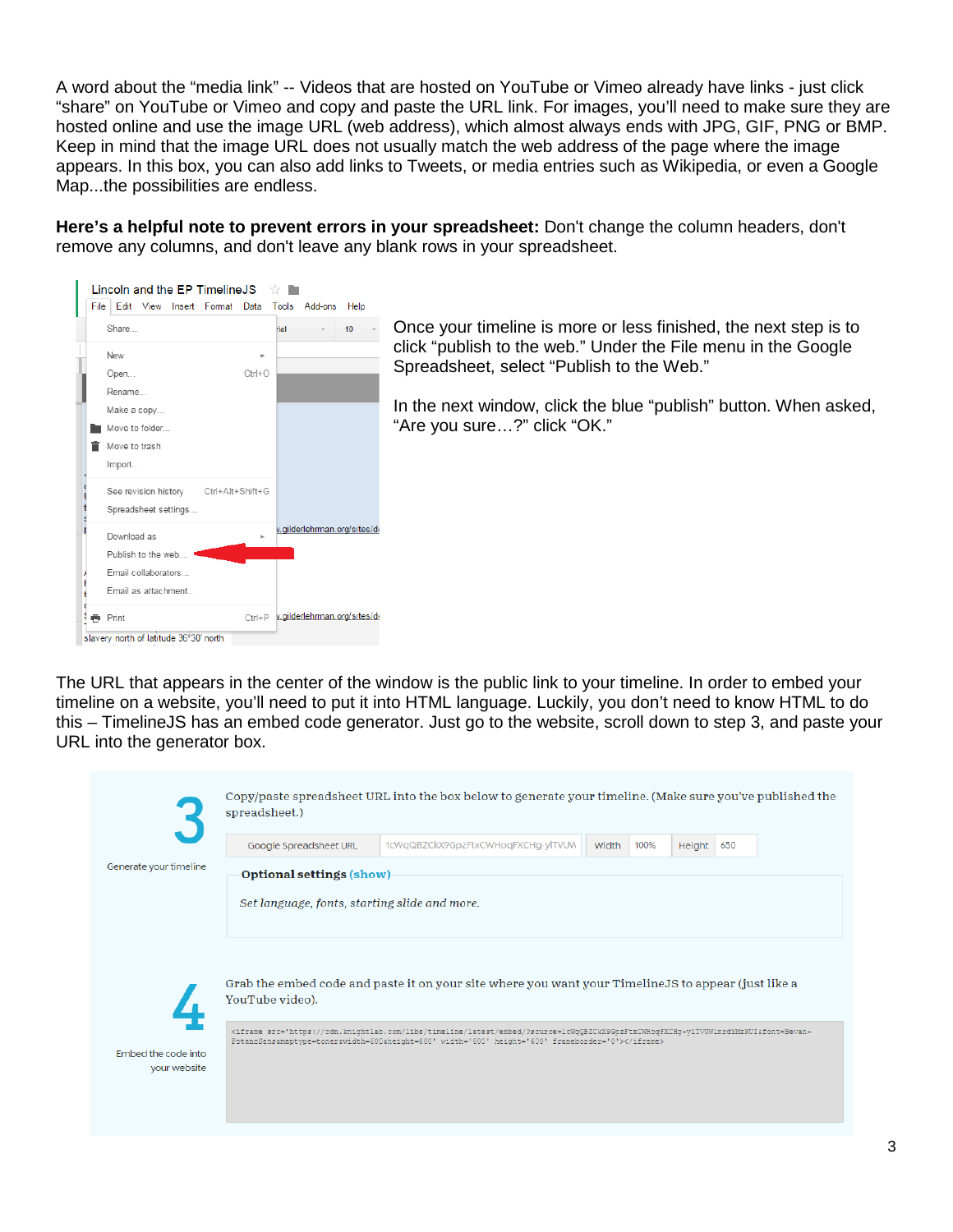A word about the "media link" -- Videos that are hosted on YouTube or Vimeo already have links - just click "share" on YouTube or Vimeo and copy and paste the URL link. For images, you'll need to make sure they are hosted online and use the image URL (web address), which almost always ends with JPG, GIF, PNG or BMP. Keep in mind that the image URL does not usually match the web address of the page where the image appears. In this box, you can also add links to Tweets, or media entries such as Wikipedia, or even a Google Map...the possibilities are endless.

**Here's a helpful note to prevent errors in your spreadsheet:** Don't change the column headers, don't remove any columns, and don't leave any blank rows in your spreadsheet.



The URL that appears in the center of the window is the public link to your timeline. In order to embed your timeline on a website, you'll need to put it into HTML language. Luckily, you don't need to know HTML to do this – TimelineJS has an embed code generator. Just go to the website, scroll down to step 3, and paste your URL into the generator box.

|                        | Google Spreadsheet URL                        | 1cWqQBZCkX9GpzFtxCWHoqFXCHg-ylTVUW                                                                                                                                                                                                                            | Width | 100% | Height | 650 |  |
|------------------------|-----------------------------------------------|---------------------------------------------------------------------------------------------------------------------------------------------------------------------------------------------------------------------------------------------------------------|-------|------|--------|-----|--|
| Generate your timeline | Optional settings (show)                      |                                                                                                                                                                                                                                                               |       |      |        |     |  |
|                        | Set language, fonts, starting slide and more. |                                                                                                                                                                                                                                                               |       |      |        |     |  |
|                        |                                               |                                                                                                                                                                                                                                                               |       |      |        |     |  |
|                        |                                               |                                                                                                                                                                                                                                                               |       |      |        |     |  |
|                        |                                               |                                                                                                                                                                                                                                                               |       |      |        |     |  |
|                        |                                               | Grab the embed code and paste it on your site where you want your Timeline JS to appear (just like a                                                                                                                                                          |       |      |        |     |  |
|                        | YouTube video).                               |                                                                                                                                                                                                                                                               |       |      |        |     |  |
|                        |                                               | <iframe frameborder="0" height="600" src="https://cdn.knightlab.com/libs/timeline/latest/embed/?source=1cWqQBZCkX9GpzFtxCWHoqFXCHq-ylTVUWlnrdYMzKUI&amp;font=Bevan-&lt;br&gt;PotanoSans&amp;maptype=toner&amp;width=600&amp;height=600" width="600"></iframe> |       |      |        |     |  |